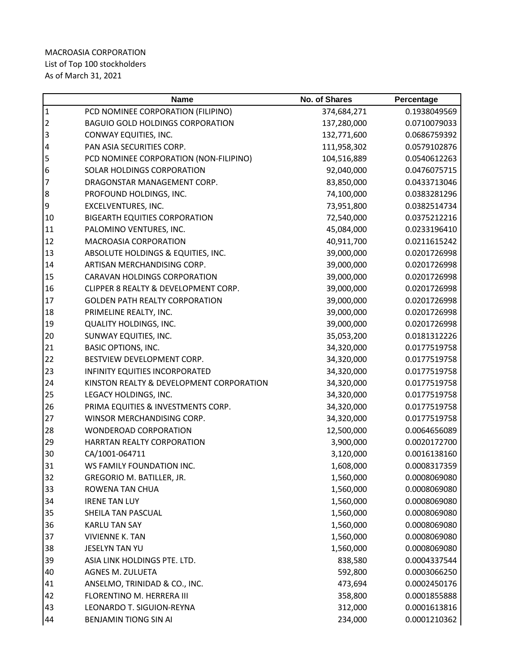|                | <b>Name</b>                              | <b>No. of Shares</b> | Percentage   |
|----------------|------------------------------------------|----------------------|--------------|
| $\overline{1}$ | PCD NOMINEE CORPORATION (FILIPINO)       | 374,684,271          | 0.1938049569 |
| $\overline{2}$ | <b>BAGUIO GOLD HOLDINGS CORPORATION</b>  | 137,280,000          | 0.0710079033 |
| 3              | CONWAY EQUITIES, INC.                    | 132,771,600          | 0.0686759392 |
| $\overline{a}$ | PAN ASIA SECURITIES CORP.                | 111,958,302          | 0.0579102876 |
| 5              | PCD NOMINEE CORPORATION (NON-FILIPINO)   | 104,516,889          | 0.0540612263 |
| 6              | SOLAR HOLDINGS CORPORATION               | 92,040,000           | 0.0476075715 |
| $\overline{7}$ | DRAGONSTAR MANAGEMENT CORP.              | 83,850,000           | 0.0433713046 |
| 8              | PROFOUND HOLDINGS, INC.                  | 74,100,000           | 0.0383281296 |
| 9              | EXCELVENTURES, INC.                      | 73,951,800           | 0.0382514734 |
| 10             | <b>BIGEARTH EQUITIES CORPORATION</b>     | 72,540,000           | 0.0375212216 |
| 11             | PALOMINO VENTURES, INC.                  | 45,084,000           | 0.0233196410 |
| 12             | MACROASIA CORPORATION                    | 40,911,700           | 0.0211615242 |
| 13             | ABSOLUTE HOLDINGS & EQUITIES, INC.       | 39,000,000           | 0.0201726998 |
| 14             | ARTISAN MERCHANDISING CORP.              | 39,000,000           | 0.0201726998 |
| 15             | <b>CARAVAN HOLDINGS CORPORATION</b>      | 39,000,000           | 0.0201726998 |
| 16             | CLIPPER 8 REALTY & DEVELOPMENT CORP.     | 39,000,000           | 0.0201726998 |
| 17             | <b>GOLDEN PATH REALTY CORPORATION</b>    | 39,000,000           | 0.0201726998 |
| 18             | PRIMELINE REALTY, INC.                   | 39,000,000           | 0.0201726998 |
| 19             | <b>QUALITY HOLDINGS, INC.</b>            | 39,000,000           | 0.0201726998 |
| 20             | SUNWAY EQUITIES, INC.                    | 35,053,200           | 0.0181312226 |
| 21             | <b>BASIC OPTIONS, INC.</b>               | 34,320,000           | 0.0177519758 |
| 22             | BESTVIEW DEVELOPMENT CORP.               | 34,320,000           | 0.0177519758 |
| 23             | INFINITY EQUITIES INCORPORATED           | 34,320,000           | 0.0177519758 |
| 24             | KINSTON REALTY & DEVELOPMENT CORPORATION | 34,320,000           | 0.0177519758 |
| 25             | LEGACY HOLDINGS, INC.                    | 34,320,000           | 0.0177519758 |
| 26             | PRIMA EQUITIES & INVESTMENTS CORP.       | 34,320,000           | 0.0177519758 |
| 27             | WINSOR MERCHANDISING CORP.               | 34,320,000           | 0.0177519758 |
| 28             | WONDEROAD CORPORATION                    | 12,500,000           | 0.0064656089 |
| 29             | HARRTAN REALTY CORPORATION               | 3,900,000            | 0.0020172700 |
| 30             | CA/1001-064711                           | 3,120,000            | 0.0016138160 |
| 31             | WS FAMILY FOUNDATION INC.                | 1,608,000            | 0.0008317359 |
| 32             | GREGORIO M. BATILLER, JR.                | 1,560,000            | 0.0008069080 |
| 33             | ROWENA TAN CHUA                          | 1,560,000            | 0.0008069080 |
| 34             | <b>IRENE TAN LUY</b>                     | 1,560,000            | 0.0008069080 |
| 35             | SHEILA TAN PASCUAL                       | 1,560,000            | 0.0008069080 |
| 36             | <b>KARLU TAN SAY</b>                     | 1,560,000            | 0.0008069080 |
| 37             | <b>VIVIENNE K. TAN</b>                   | 1,560,000            | 0.0008069080 |
| 38             | JESELYN TAN YU                           | 1,560,000            | 0.0008069080 |
| 39             | ASIA LINK HOLDINGS PTE. LTD.             | 838,580              | 0.0004337544 |
| 40             | AGNES M. ZULUETA                         | 592,800              | 0.0003066250 |
| 41             | ANSELMO, TRINIDAD & CO., INC.            | 473,694              | 0.0002450176 |
| 42             | FLORENTINO M. HERRERA III                | 358,800              | 0.0001855888 |
| 43             | LEONARDO T. SIGUION-REYNA                | 312,000              | 0.0001613816 |
| 44             | BENJAMIN TIONG SIN AI                    | 234,000              | 0.0001210362 |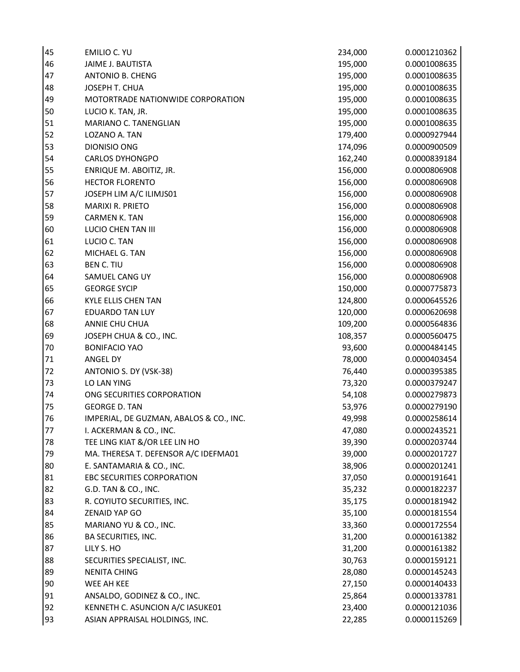| 45 | EMILIO C. YU                            | 234,000 | 0.0001210362 |
|----|-----------------------------------------|---------|--------------|
| 46 | JAIME J. BAUTISTA                       | 195,000 | 0.0001008635 |
| 47 | <b>ANTONIO B. CHENG</b>                 | 195,000 | 0.0001008635 |
| 48 | JOSEPH T. CHUA                          | 195,000 | 0.0001008635 |
| 49 | MOTORTRADE NATIONWIDE CORPORATION       | 195,000 | 0.0001008635 |
| 50 | LUCIO K. TAN, JR.                       | 195,000 | 0.0001008635 |
| 51 | MARIANO C. TANENGLIAN                   | 195,000 | 0.0001008635 |
| 52 | LOZANO A. TAN                           | 179,400 | 0.0000927944 |
| 53 | DIONISIO ONG                            | 174,096 | 0.0000900509 |
| 54 | <b>CARLOS DYHONGPO</b>                  | 162,240 | 0.0000839184 |
| 55 | ENRIQUE M. ABOITIZ, JR.                 | 156,000 | 0.0000806908 |
| 56 | <b>HECTOR FLORENTO</b>                  | 156,000 | 0.0000806908 |
| 57 | JOSEPH LIM A/C ILIMJS01                 | 156,000 | 0.0000806908 |
| 58 | <b>MARIXI R. PRIETO</b>                 | 156,000 | 0.0000806908 |
| 59 | <b>CARMEN K. TAN</b>                    | 156,000 | 0.0000806908 |
| 60 | LUCIO CHEN TAN III                      | 156,000 | 0.0000806908 |
| 61 | LUCIO C. TAN                            | 156,000 | 0.0000806908 |
| 62 | MICHAEL G. TAN                          | 156,000 | 0.0000806908 |
| 63 | <b>BEN C. TIU</b>                       | 156,000 | 0.0000806908 |
| 64 | SAMUEL CANG UY                          | 156,000 | 0.0000806908 |
| 65 | <b>GEORGE SYCIP</b>                     | 150,000 | 0.0000775873 |
| 66 | <b>KYLE ELLIS CHEN TAN</b>              | 124,800 | 0.0000645526 |
| 67 | <b>EDUARDO TAN LUY</b>                  | 120,000 | 0.0000620698 |
| 68 | ANNIE CHU CHUA                          | 109,200 | 0.0000564836 |
| 69 | JOSEPH CHUA & CO., INC.                 | 108,357 | 0.0000560475 |
| 70 | <b>BONIFACIO YAO</b>                    | 93,600  | 0.0000484145 |
| 71 | ANGEL DY                                | 78,000  | 0.0000403454 |
| 72 | ANTONIO S. DY (VSK-38)                  | 76,440  | 0.0000395385 |
| 73 | LO LAN YING                             | 73,320  | 0.0000379247 |
| 74 | ONG SECURITIES CORPORATION              | 54,108  | 0.0000279873 |
| 75 | <b>GEORGE D. TAN</b>                    | 53,976  | 0.0000279190 |
| 76 | IMPERIAL, DE GUZMAN, ABALOS & CO., INC. | 49,998  | 0.0000258614 |
| 77 | I. ACKERMAN & CO., INC.                 | 47,080  | 0.0000243521 |
| 78 | TEE LING KIAT &/OR LEE LIN HO           | 39,390  | 0.0000203744 |
| 79 | MA. THERESA T. DEFENSOR A/C IDEFMA01    | 39,000  | 0.0000201727 |
| 80 | E. SANTAMARIA & CO., INC.               | 38,906  | 0.0000201241 |
| 81 | EBC SECURITIES CORPORATION              | 37,050  | 0.0000191641 |
| 82 | G.D. TAN & CO., INC.                    | 35,232  | 0.0000182237 |
| 83 | R. COYIUTO SECURITIES, INC.             | 35,175  | 0.0000181942 |
| 84 | <b>ZENAID YAP GO</b>                    | 35,100  | 0.0000181554 |
| 85 | MARIANO YU & CO., INC.                  | 33,360  | 0.0000172554 |
| 86 | BA SECURITIES, INC.                     | 31,200  | 0.0000161382 |
| 87 | LILY S. HO                              | 31,200  | 0.0000161382 |
| 88 | SECURITIES SPECIALIST, INC.             | 30,763  | 0.0000159121 |
| 89 | <b>NENITA CHING</b>                     | 28,080  | 0.0000145243 |
| 90 | WEE AH KEE                              | 27,150  | 0.0000140433 |
| 91 | ANSALDO, GODINEZ & CO., INC.            | 25,864  | 0.0000133781 |
| 92 | KENNETH C. ASUNCION A/C IASUKE01        | 23,400  | 0.0000121036 |
| 93 | ASIAN APPRAISAL HOLDINGS, INC.          | 22,285  | 0.0000115269 |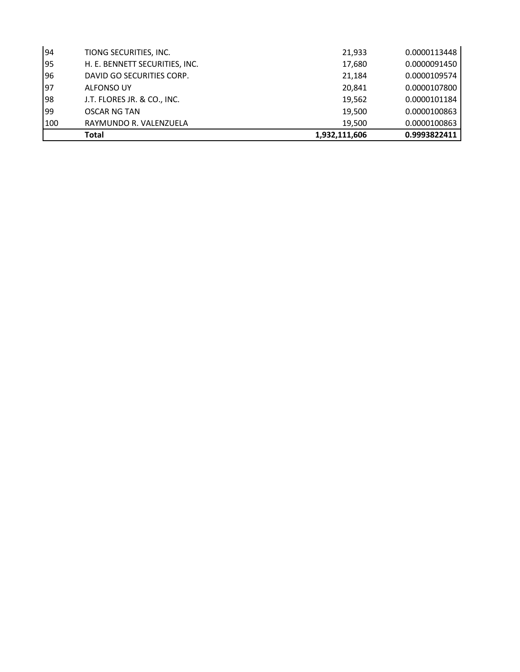|     | Total                          | 1,932,111,606 | 0.9993822411 |
|-----|--------------------------------|---------------|--------------|
| 100 | RAYMUNDO R. VALENZUELA         | 19.500        | 0.0000100863 |
| 99  | <b>OSCAR NG TAN</b>            | 19,500        | 0.0000100863 |
| 98  | J.T. FLORES JR. & CO., INC.    | 19,562        | 0.0000101184 |
| 97  | <b>ALFONSO UY</b>              | 20,841        | 0.0000107800 |
| 96  | DAVID GO SECURITIES CORP.      | 21,184        | 0.0000109574 |
| 95  | H. E. BENNETT SECURITIES, INC. | 17,680        | 0.0000091450 |
| 94  | TIONG SECURITIES, INC.         | 21,933        | 0.0000113448 |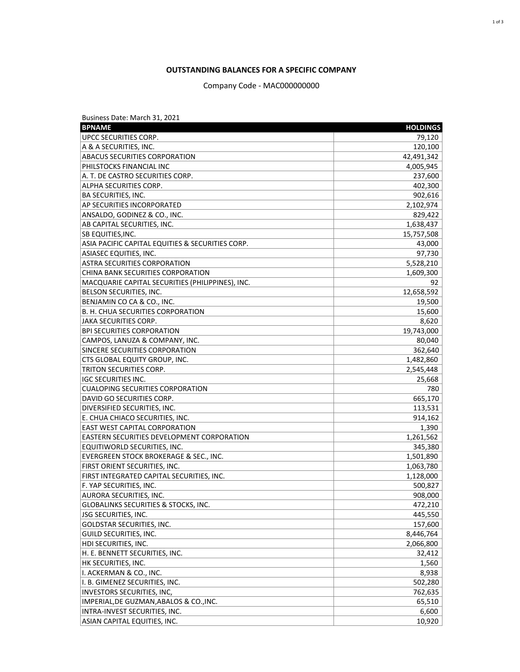## **OUTSTANDING BALANCES FOR A SPECIFIC COMPANY**

Company Code - MAC000000000

| Business Date: March 31, 2021                    |                 |
|--------------------------------------------------|-----------------|
| <b>BPNAME</b>                                    | <b>HOLDINGS</b> |
| UPCC SECURITIES CORP.                            | 79,120          |
| A & A SECURITIES, INC.                           | 120,100         |
| <b>ABACUS SECURITIES CORPORATION</b>             | 42,491,342      |
| PHILSTOCKS FINANCIAL INC                         | 4,005,945       |
| A. T. DE CASTRO SECURITIES CORP.                 | 237,600         |
| ALPHA SECURITIES CORP.                           | 402,300         |
| <b>BA SECURITIES, INC.</b>                       | 902,616         |
| AP SECURITIES INCORPORATED                       | 2,102,974       |
| ANSALDO, GODINEZ & CO., INC.                     | 829,422         |
| AB CAPITAL SECURITIES, INC.                      | 1,638,437       |
| <b>SB EQUITIES, INC.</b>                         | 15,757,508      |
| ASIA PACIFIC CAPITAL EQUITIES & SECURITIES CORP. | 43,000          |
| <b>ASIASEC EQUITIES, INC.</b>                    | 97,730          |
| <b>ASTRA SECURITIES CORPORATION</b>              | 5,528,210       |
| CHINA BANK SECURITIES CORPORATION                | 1,609,300       |
| MACQUARIE CAPITAL SECURITIES (PHILIPPINES), INC. | 92              |
| BELSON SECURITIES, INC.                          | 12,658,592      |
| BENJAMIN CO CA & CO., INC.                       | 19,500          |
| B. H. CHUA SECURITIES CORPORATION                | 15,600          |
| JAKA SECURITIES CORP.                            | 8,620           |
| <b>BPI SECURITIES CORPORATION</b>                | 19,743,000      |
| CAMPOS, LANUZA & COMPANY, INC.                   | 80,040          |
| SINCERE SECURITIES CORPORATION                   | 362,640         |
| CTS GLOBAL EQUITY GROUP, INC.                    | 1,482,860       |
| TRITON SECURITIES CORP.                          | 2,545,448       |
| <b>IGC SECURITIES INC.</b>                       | 25,668          |
| <b>CUALOPING SECURITIES CORPORATION</b>          | 780             |
| DAVID GO SECURITIES CORP.                        | 665,170         |
| DIVERSIFIED SECURITIES, INC.                     | 113,531         |
| E. CHUA CHIACO SECURITIES, INC.                  | 914,162         |
| <b>EAST WEST CAPITAL CORPORATION</b>             | 1,390           |
| EASTERN SECURITIES DEVELOPMENT CORPORATION       | 1,261,562       |
| EQUITIWORLD SECURITIES, INC.                     | 345,380         |
| EVERGREEN STOCK BROKERAGE & SEC., INC.           | 1,501,890       |
| FIRST ORIENT SECURITIES, INC.                    | 1,063,780       |
| FIRST INTEGRATED CAPITAL SECURITIES, INC.        | 1,128,000       |
| F. YAP SECURITIES, INC.                          | 500,827         |
| AURORA SECURITIES, INC.                          | 908,000         |
| <b>GLOBALINKS SECURITIES &amp; STOCKS, INC.</b>  | 472,210         |
| <b>JSG SECURITIES, INC.</b>                      | 445,550         |
| GOLDSTAR SECURITIES, INC.                        | 157,600         |
| GUILD SECURITIES, INC.                           | 8,446,764       |
| HDI SECURITIES, INC.                             | 2,066,800       |
| H. E. BENNETT SECURITIES, INC.                   | 32,412          |
| HK SECURITIES, INC.                              | 1,560           |
| I. ACKERMAN & CO., INC.                          | 8,938           |
| I. B. GIMENEZ SECURITIES, INC.                   | 502,280         |
| INVESTORS SECURITIES, INC,                       | 762,635         |
| IMPERIAL, DE GUZMAN, ABALOS & CO., INC.          | 65,510          |
| INTRA-INVEST SECURITIES, INC.                    | 6,600           |
| ASIAN CAPITAL EQUITIES, INC.                     | 10,920          |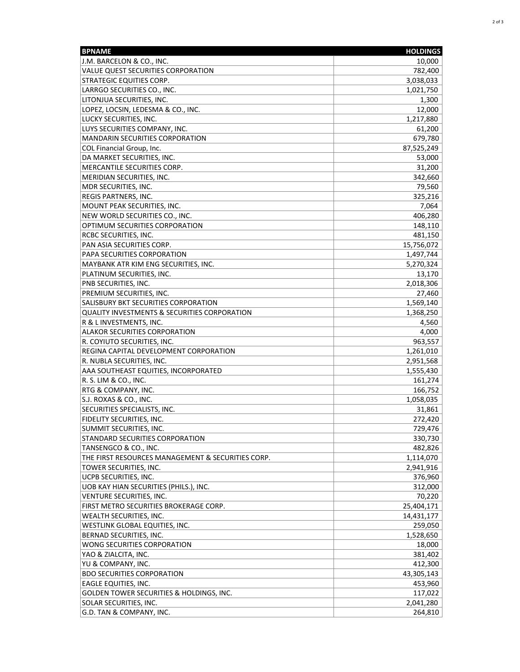| <b>BPNAME</b>                                           | <b>HOLDINGS</b> |
|---------------------------------------------------------|-----------------|
| J.M. BARCELON & CO., INC.                               | 10,000          |
| VALUE QUEST SECURITIES CORPORATION                      | 782,400         |
| <b>STRATEGIC EQUITIES CORP.</b>                         | 3,038,033       |
| LARRGO SECURITIES CO., INC.                             | 1,021,750       |
| LITONJUA SECURITIES, INC.                               | 1,300           |
| LOPEZ, LOCSIN, LEDESMA & CO., INC.                      | 12,000          |
| LUCKY SECURITIES, INC.                                  | 1,217,880       |
| LUYS SECURITIES COMPANY, INC.                           | 61,200          |
| <b>MANDARIN SECURITIES CORPORATION</b>                  | 679,780         |
| COL Financial Group, Inc.                               | 87,525,249      |
| DA MARKET SECURITIES, INC.                              | 53,000          |
| MERCANTILE SECURITIES CORP.                             | 31,200          |
| MERIDIAN SECURITIES, INC.                               | 342,660         |
| MDR SECURITIES, INC.                                    | 79,560          |
| REGIS PARTNERS, INC.                                    | 325,216         |
| MOUNT PEAK SECURITIES, INC.                             | 7,064           |
| NEW WORLD SECURITIES CO., INC.                          | 406,280         |
| OPTIMUM SECURITIES CORPORATION                          | 148,110         |
| RCBC SECURITIES, INC.                                   | 481,150         |
| PAN ASIA SECURITIES CORP.                               | 15,756,072      |
| PAPA SECURITIES CORPORATION                             | 1,497,744       |
| MAYBANK ATR KIM ENG SECURITIES, INC.                    | 5,270,324       |
| PLATINUM SECURITIES, INC.                               | 13,170          |
| PNB SECURITIES, INC.                                    | 2,018,306       |
| PREMIUM SECURITIES, INC.                                | 27,460          |
| SALISBURY BKT SECURITIES CORPORATION                    | 1,569,140       |
| <b>QUALITY INVESTMENTS &amp; SECURITIES CORPORATION</b> | 1,368,250       |
| R & L INVESTMENTS, INC.                                 | 4,560           |
| ALAKOR SECURITIES CORPORATION                           | 4,000           |
| R. COYIUTO SECURITIES, INC.                             | 963,557         |
| REGINA CAPITAL DEVELOPMENT CORPORATION                  | 1,261,010       |
| R. NUBLA SECURITIES, INC.                               | 2,951,568       |
| AAA SOUTHEAST EQUITIES, INCORPORATED                    | 1,555,430       |
| R. S. LIM & CO., INC.                                   | 161,274         |
| RTG & COMPANY, INC.                                     | 166,752         |
| S.J. ROXAS & CO., INC.                                  | 1,058,035       |
| <b>SECURITIES SPECIALISTS, INC.</b>                     | 31,861          |
| FIDELITY SECURITIES, INC.                               | 272,420         |
| SUMMIT SECURITIES, INC.                                 | 729,476         |
| STANDARD SECURITIES CORPORATION                         | 330,730         |
| TANSENGCO & CO., INC.                                   | 482,826         |
| THE FIRST RESOURCES MANAGEMENT & SECURITIES CORP.       | 1,114,070       |
| TOWER SECURITIES, INC.                                  | 2,941,916       |
| UCPB SECURITIES, INC.                                   | 376,960         |
| UOB KAY HIAN SECURITIES (PHILS.), INC.                  | 312,000         |
| VENTURE SECURITIES, INC.                                | 70,220          |
| FIRST METRO SECURITIES BROKERAGE CORP.                  | 25,404,171      |
| WEALTH SECURITIES, INC.                                 | 14,431,177      |
| WESTLINK GLOBAL EQUITIES, INC.                          | 259,050         |
| BERNAD SECURITIES, INC.                                 | 1,528,650       |
| WONG SECURITIES CORPORATION                             | 18,000          |
| YAO & ZIALCITA, INC.                                    | 381,402         |
| YU & COMPANY, INC.                                      | 412,300         |
| <b>BDO SECURITIES CORPORATION</b>                       | 43,305,143      |
| EAGLE EQUITIES, INC.                                    | 453,960         |
| GOLDEN TOWER SECURITIES & HOLDINGS, INC.                | 117,022         |
| SOLAR SECURITIES, INC.                                  | 2,041,280       |
| G.D. TAN & COMPANY, INC.                                | 264,810         |
|                                                         |                 |